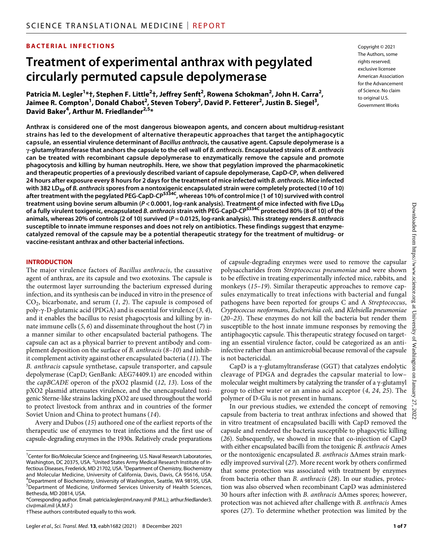## **BACTERIAL INFECTIONS**

# **Treatment of experimental anthrax with pegylated circularly permuted capsule depolymerase**

**Patricia M. Legler1 \*†, Stephen F. Little2 †, Jeffrey Senft2 , Rowena Schokman2 , John H. Carra2 , Jaimee R. Compton1 , Donald Chabot2 , Steven Tobery2 , David P. Fetterer2 , Justin B. Siegel3 , David Baker4 , Arthur M. Friedlander2,5 \***

**Anthrax is considered one of the most dangerous bioweapon agents, and concern about multidrug-resistant strains has led to the development of alternative therapeutic approaches that target the antiphagocytic capsule, an essential virulence determinant of** *Bacillus anthracis***, the causative agent. Capsule depolymerase is a -glutamyltransferase that anchors the capsule to the cell wall of** *B. anthracis***. Encapsulated strains of** *B. anthracis* **can be treated with recombinant capsule depolymerase to enzymatically remove the capsule and promote phagocytosis and killing by human neutrophils. Here, we show that pegylation improved the pharmacokinetic and therapeutic properties of a previously described variant of capsule depolymerase, CapD-CP, when delivered 24 hours after exposure every 8 hours for 2 days for the treatment of mice infected with** *B. anthracis.* **Mice infected**  with 382 LD<sub>50</sub> of *B. anthracis* spores from a nontoxigenic encapsulated strain were completely protected (10 of 10)<br>after treatment with the pegylated PEG-CapD-CP<sup>5334C</sup>, whereas 10% of control mice (1 of 10) survived wi **treatment using bovine serum albumin (***P* **< 0.0001, log-rank analysis). Treatment of mice infected with five LD50 of a fully virulent toxigenic, encapsulated** *B. anthracis* **strain with PEG-CapD-CPS334C protected 80% (8 of 10) of the animals, whereas 20% of controls (2 of 10) survived (***P***=0.0125, log-rank analysis). This strategy renders** *B. anthracis* **susceptible to innate immune responses and does not rely on antibiotics. These findings suggest that enzymecatalyzed removal of the capsule may be a potential therapeutic strategy for the treatment of multidrug- or vaccine-resistant anthrax and other bacterial infections.**

#### **INTRODUCTION**

The major virulence factors of *Bacillus anthracis*, the causative agent of anthrax, are its capsule and two exotoxins. The capsule is the outermost layer surrounding the bacterium expressed during infection, and its synthesis can be induced in vitro in the presence of CO2, bicarbonate, and serum (*1*, *2*). The capsule is composed of poly--D-glutamic acid (PDGA) and is essential for virulence (*3*, *4*), and it enables the bacillus to resist phagocytosis and killing by innate immune cells (*5*, *6*) and disseminate throughout the host (*7*) in a manner similar to other encapsulated bacterial pathogens. The capsule can act as a physical barrier to prevent antibody and complement deposition on the surface of *B. anthracis* (*8*–*10*) and inhibit complement activity against other encapsulated bacteria (*11*). The *B. anthracis* capsule synthetase, capsule transporter, and capsule depolymerase (CapD; GenBank: AEG74409.1) are encoded within the *capBCADE* operon of the pXO2 plasmid (*12*, *13*). Loss of the pXO2 plasmid attenuates virulence, and the unencapsulated toxigenic Sterne-like strains lacking pXO2 are used throughout the world to protect livestock from anthrax and in countries of the former Soviet Union and China to protect humans (*14*).

Avery and Dubos (*15*) authored one of the earliest reports of the therapeutic use of enzymes to treat infections and the first use of capsule-degrading enzymes in the 1930s. Relatively crude preparations

of capsule-degrading enzymes were used to remove the capsular polysaccharides from *Streptococcus pneumoniae* and were shown to be effective in treating experimentally infected mice, rabbits, and monkeys (*15*–*19*). Similar therapeutic approaches to remove capsules enzymatically to treat infections with bacterial and fungal pathogens have been reported for groups C and A *Streptococcus*, *Cryptococcus neoformans*, *Escherichia coli*, and *Klebsiella pneumoniae* (*20*–*23*). These enzymes do not kill the bacteria but render them susceptible to the host innate immune responses by removing the antiphagocytic capsule. This therapeutic strategy focused on targeting an essential virulence factor, could be categorized as an antiinfective rather than an antimicrobial because removal of the capsule is not bactericidal.

 $CapD$  is a  $\gamma$ -glutamyltransferase (GGT) that catalyzes endolytic cleavage of PDGA and degrades the capsular material to low– molecular weight multimers by catalyzing the transfer of a  $\gamma$ -glutamyl group to either water or an amino acid acceptor (*4*, *24*, *25*). The polymer of D-Glu is not present in humans.

In our previous studies, we extended the concept of removing capsule from bacteria to treat anthrax infections and showed that in vitro treatment of encapsulated bacilli with CapD removed the capsule and rendered the bacteria susceptible to phagocytic killing (*26*). Subsequently, we showed in mice that co-injection of CapD with either encapsulated bacilli from the toxigenic *B. anthracis* Ames or the nontoxigenic encapsulated *B. anthracis* Ames strain markedly improved survival (*27*). More recent work by others confirmed that some protection was associated with treatment by enzymes from bacteria other than *B. anthracis* (*28*). In our studies, protection was also observed when recombinant CapD was administered 30 hours after infection with *B. anthracis* Ames spores; however, protection was not achieved after challenge with *B. anthracis* Ames spores (*27*). To determine whether protection was limited by the

Copyright © 2021 The Authors, some rights reserved: exclusive licensee American Association for the Advancement of Science. No claim to original U.S. Government Works

<sup>&</sup>lt;sup>1</sup> Center for Bio/Molecular Science and Engineering, U.S. Naval Research Laboratories, Washington, DC 20375, USA. <sup>2</sup>United States Army Medical Research Institute of Infectious Diseases, Frederick, MD 21702, USA. <sup>3</sup>Department of Chemistry, Biochemistry and Molecular Medicine, University of California, Davis, Davis, CA 95616, USA. 4 Department of Biochemistry, University of Washington, Seattle, WA 98195, USA. 5 Department of Medicine, Uniformed Services University of Health Sciences, Bethesda, MD 20814, USA.

<sup>\*</sup>Corresponding author. Email: [patricia.legler@nrl.navy.mil](mailto:patricia.legler@nrl.navy.mil) (P.M.L.); [arthur.friedlander3.](mailto:arthur.friedlander3.civ@mail.mil) [civ@mail.mil](mailto:arthur.friedlander3.civ@mail.mil) (A.M.F.)

<sup>†</sup>These authors contributed equally to this work.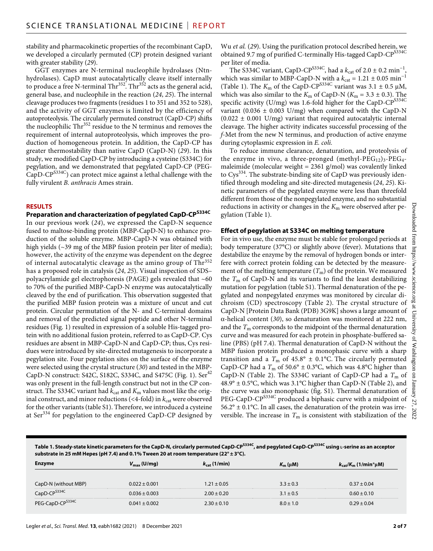stability and pharmacokinetic properties of the recombinant CapD, we developed a circularly permuted (CP) protein designed variant with greater stability (*29*).

GGT enzymes are N-terminal nucleophile hydrolases (Ntnhydrolases). CapD must autocatalytically cleave itself internally to produce a free N-terminal  $\text{Thr}^{352}$ . Thr<sup>352</sup> acts as the general acid, general base, and nucleophile in the reaction (*24*, *25*). The internal cleavage produces two fragments (residues 1 to 351 and 352 to 528), and the activity of GGT enzymes is limited by the efficiency of autoproteolysis. The circularly permuted construct (CapD-CP) shifts the nucleophilic  $\text{Thr}^{352}$  residue to the N terminus and removes the requirement of internal autoproteolysis, which improves the production of homogeneous protein. In addition, the CapD-CP has greater thermostability than native CapD (CapD-N) (*29*). In this study, we modified CapD-CP by introducing a cysteine (S334C) for pegylation, and we demonstrated that pegylated CapD-CP (PEG- $CapD-CP^{S334C}$  can protect mice against a lethal challenge with the fully virulent *B. anthracis* Ames strain.

#### **RESULTS**

# **Preparation and characterization of pegylated CapD-CPS334C**

In our previous work (*24*), we expressed the CapD-N sequence fused to maltose-binding protein (MBP-CapD-N) to enhance production of the soluble enzyme. MBP-CapD-N was obtained with high yields (~39 mg of the MBP fusion protein per liter of media); however, the activity of the enzyme was dependent on the degree of internal autocatalytic cleavage as the amino group of Thr<sup>352</sup> has a proposed role in catalysis (*24*, *25*). Visual inspection of SDS– polyacrylamide gel electrophoresis (PAGE) gels revealed that ~60 to 70% of the purified MBP-CapD-N enzyme was autocatalytically cleaved by the end of purification. This observation suggested that the purified MBP fusion protein was a mixture of uncut and cut protein. Circular permutation of the N- and C-terminal domains and removal of the predicted signal peptide and other N-terminal residues (Fig. 1) resulted in expression of a soluble His-tagged protein with no additional fusion protein, referred to as CapD-CP. Cys residues are absent in MBP-CapD-N and CapD-CP; thus, Cys residues were introduced by site-directed mutagenesis to incorporate a pegylation site. Four pegylation sites on the surface of the enzyme were selected using the crystal structure (*30*) and tested in the MBP-CapD-N construct: S42C, S182C, S334C, and S475C (Fig. 1). Ser<sup>42</sup> was only present in the full-length construct but not in the CP construct. The S334C variant had  $k_{\text{cat}}$  and  $K_{\text{m}}$  values most like the original construct, and minor reductions  $(<$ 4-fold) in  $k_{cat}$  were observed for the other variants (table S1). Therefore, we introduced a cysteine at Ser<sup>334</sup> for pegylation to the engineered CapD-CP designed by Wu *et al.* (*29*). Using the purification protocol described herein, we obtained 9.7 mg of purified C-terminally His-tagged CapD-CP<sup>S334C</sup> per liter of media.

The S334C variant, CapD-CP<sup>S334C</sup>, had a  $k_{cat}$  of 2.0 ± 0.2 min<sup>-1</sup> which was similar to MBP-CapD-N with a  $k_{\text{cat}} = 1.21 \pm 0.05 \text{ min}^{-1}$ (Table 1). The  $K_m$  of the CapD-CP<sup>S334C</sup> variant was  $3.1 \pm 0.5 \mu M$ , which was also similar to the  $K_m$  of CapD-N ( $K_m = 3.3 \pm 0.3$ ). The specific activity (U/mg) was 1.6-fold higher for the CapD-CP<sup>S334C</sup> variant (0.036  $\pm$  0.003 U/mg) when compared with the CapD-N  $(0.022 \pm 0.001 \text{ U/mg})$  variant that required autocatalytic internal cleavage. The higher activity indicates successful processing of the *f*-Met from the new N terminus, and production of active enzyme during cytoplasmic expression in *E. coli.*

To reduce immune clearance, denaturation, and proteolysis of the enzyme in vivo, a three-pronged (methyl- $\text{PEG}_{12}$ )<sub>3</sub>- $\text{PEG}_{4}$ maleimide (molecular weight  $= 2361$  g/mol) was covalently linked to Cys<sup>334</sup>. The substrate-binding site of CapD was previously identified through modeling and site-directed mutagenesis (*24*, *25*). Kinetic parameters of the pegylated enzyme were less than threefold different from those of the nonpegylated enzyme, and no substantial reductions in activity or changes in the  $K<sub>m</sub>$  were observed after pegylation (Table 1).

#### **Effect of pegylation at S334C on melting temperature**

For in vivo use, the enzyme must be stable for prolonged periods at body temperature (37°C) or slightly above (fever). Mutations that destabilize the enzyme by the removal of hydrogen bonds or interfere with correct protein folding can be detected by the measurement of the melting temperature  $(T<sub>m</sub>)$  of the protein. We measured the *T*m of CapD-N and its variants to find the least destabilizing mutation for pegylation (table S1). Thermal denaturation of the pegylated and nonpegylated enzymes was monitored by circular dichroism (CD) spectroscopy (Table 2). The crystal structure of CapD-N [Protein Data Bank (PDB) 3G9K] shows a large amount of -helical content (*30*), so denaturation was monitored at 222 nm, and the  $T<sub>m</sub>$  corresponds to the midpoint of the thermal denaturation curve and was measured for each protein in phosphate-buffered saline (PBS) (pH 7.4). Thermal denaturation of CapD-N without the MBP fusion protein produced a monophasic curve with a sharp transition and a  $T_m$  of 45.8°  $\pm$  0.1°C. The circularly permuted CapD-CP had a  $T_m$  of 50.6°  $\pm$  0.3°C, which was 4.8°C higher than CapD-N (Table 2). The S334C variant of CapD-CP had a  $T<sub>m</sub>$  of 48.9°  $\pm$  0.5°C, which was 3.1°C higher than CapD-N (Table 2), and the curve was also monophasic (fig. S1). Thermal denaturation of PEG-CapD-CP<sup>S334C</sup> produced a biphasic curve with a midpoint of  $56.2^{\circ} \pm 0.1^{\circ}$ C. In all cases, the denaturation of the protein was irreversible. The increase in  $T<sub>m</sub>$  is consistent with stabilization of the

**Table 1. Steady-state kinetic parameters for the CapD-N, circularly permuted CapD-CPS334C, and pegylated CapD-CPS334C using l-serine as an acceptor substrate in 25 mM Hepes (pH 7.4) and 0.1% Tween 20 at room temperature (22° ± 3°C).**

| rmc                          | $V_{\text{max}}$ (U/mg) | (1/min)         | $K_m$ (µM). | $K_{\text{cat}}/K_{\text{m}}$ (1/min <sup>*</sup> µM) |
|------------------------------|-------------------------|-----------------|-------------|-------------------------------------------------------|
| D-N (without MBP)            | 0.022 + 0.001           | $.21 + 0.05$    | $3.3 + 0.3$ | $0.37 + 0.04$                                         |
|                              | <u> 2.036 + 0.003</u>   | $2.00 \pm 0.20$ | $3.1 + 0.5$ |                                                       |
| PEG-CapD-CP <sup>S334C</sup> | 0.041 + 0.002           | $2.30 + 0.10$   | $8.0 + 1.0$ | $.29 + 0.04$                                          |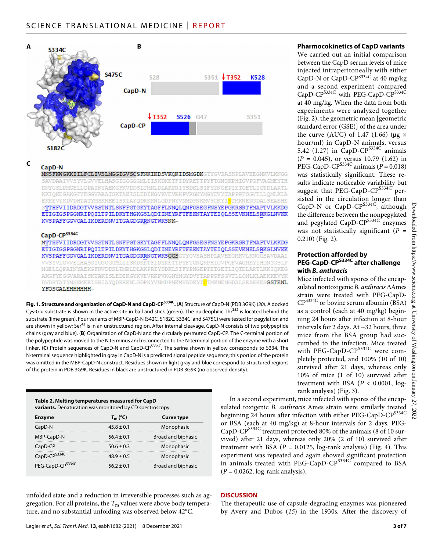

#### C CapD-N

MNSFKWGKKIILFCLIVSLMGGIGVSCSFNKIKDSVKQKIDSMGDKGTYGVSASHPLAVEEGMKVLKNGG SAVDAAIVVSYVLGVVELHASGIGGGGGMLIISKDKETFIDYRETTPYFTGNOKPHIGVPGFVAGMEYIH DNYGSLPMGELLOPAINYAEKGFKVDDSLTMRLDLAKPRIYSDKLSIFYPNGEPIETGETLIOTDLARTL KKIQKEGAKGFYEGGVARAISKTAKISLEDIKGYKVEVRKFVKGNYMGYDVYTAPPPFSGVTLLQMLKLA EKKEVYKDVDHTATYMSKMEETSRIAYODRKKNI.GDPNYVNMDPNKMVSDKYISTMKNENGDALSEAEHE STTHFVIIDRDGTVVSSTNTLSNFFGTGKYTAGFFLNNQLQNFGSEGFNSYEPGKRSRTFMAPTVLKKDG ETIGIGSPGGNRIPQILTPILDKYTHGKGSLQDIINEYRFTFEKNTAYTEIQLSSEVKNELSRKGLNVKK KVSPAFFGGVQALIKDERDNVITGAGDGRRNGTWKSNK-

#### CapD-CPS334c

MTTHFVIIDRDGTVVSSTNTLSNFFGTGKYTAGFFLNNQLQNFGSEGFNSYEPGKRSRTFMAPTVLKKDG ETIGIGSPGGNRIPQILTPILDKYTHGKGSLQDIINEYRFTFEKNTAYTEIQLSSEVKNELSRKGLNVKK KVSPAFFGGVQALIKDERDNVITGAGDGRRNGTWKSGGSGTYGVSASHPLAVEEGMKVLKNGGSAVDAAI VVSYVLGVVELHASGIGGGGGMLIISKDKETFIDYRETTPYFTGNQKPHIGVPGFVAGMEYIHDNYGSLP MGELLOPAINYAEKGFKVDDSLTMRLDLAKPRIYSDKLSIFYPNGEPIETGETLIOTDLARTLKKIOKEG AKGFYEGGVARAISKTAKISLEDIKGYKVEVRKPVKGNYMGYDVYTAPPPFSGVTLLQMLKLAEKKEVYK DVDHTATYMSKMEEISRIAYQDRKKNLGDPNYVNMDPNKMVSDKYI<mark>C</mark>TMKNENGDALSEAEHES**GSTENL** YFOSGALEHHHHHH-

**Fig. 1. Structure and organization of CapD-N and CapD-CPS334C.** (**A**) Structure of CapD-N (PDB 3G9K) (*30*). A docked Cys-Glu substrate is shown in the active site in ball and stick (green). The nucleophilic Thr<sup>352</sup> is located behind the substrate (lime green). Four variants of MBP-CapD-N (S42C, S182C, S334C, and S475C) were tested for pegylation and are shown in yellow; Ser<sup>42</sup> is in an unstructured region. After internal cleavage, CapD-N consists of two polypeptide chains (gray and blue). (**B**) Organization of CapD-N and the circularly permuted CapD-CP. The C-terminal portion of the polypeptide was moved to the N terminus and reconnected to the N-terminal portion of the enzyme with a short linker. (**C**) Protein sequences of CapD-N and CapD-CP<sup>S334C</sup>. The serine shown in yellow corresponds to S334. The N-terminal sequence highlighted in gray in CapD-N is a predicted signal peptide sequence; this portion of the protein was omitted in the MBP-CapD-N construct. Residues shown in light gray and blue correspond to structured regions of the protein in PDB 3G9K. Residues in black are unstructured in PDB 3G9K (no observed density).

| Table 2. Melting temperatures measured for CapD                 |
|-----------------------------------------------------------------|
| <b>variants.</b> Denaturation was monitored by CD spectroscopy. |

| <b>Enzyme</b>                | $T_m$ (°C)     | <b>Curve type</b>  |
|------------------------------|----------------|--------------------|
| CapD-N                       | $45.8 \pm 0.1$ | Monophasic         |
| MBP-CapD-N                   | $56.4 \pm 0.1$ | Broad and biphasic |
| CapD-CP                      | $50.6 \pm 0.3$ | Monophasic         |
| CapD-CP <sup>S334C</sup>     | $48.9 + 0.5$   | Monophasic         |
| PEG-CapD-CP <sup>5334C</sup> | $56.2 + 0.1$   | Broad and biphasic |

unfolded state and a reduction in irreversible processes such as aggregation. For all proteins, the  $T<sub>m</sub>$  values were above body temperature, and no substantial unfolding was observed below 42°C.

#### **Pharmocokinetics of CapD variants**

We carried out an initial comparison between the CapD serum levels of mice injected intraperitoneally with either CapD-N or CapD-CP<sup>S334C</sup> at 40 mg/kg and a second experiment compared CapD-CP<sup>S334C</sup> with PEG-CapD-CP<sup>S334C</sup> at 40 mg/kg. When the data from both experiments were analyzed together (Fig. 2), the geometric mean [geometric standard error (GSE)] of the area under the curve (AUC) of 1.47 (1.66) ( $\mu$ g × hour/ml) in CapD-N animals, versus 5.42 (1.27) in CapD-CP<sup>S334C</sup> animals  $(P = 0.045)$ , or versus 10.79 (1.62) in PEG-CapD-CP<sup>S334C</sup> animals ( $P = 0.018$ ) was statistically significant. These results indicate noticeable variability but suggest that PEG-CapD-CP $^{S334C'}$  persisted in the circulation longer than CapD-N or CapD-C $P^{S334C}$ , although the difference between the nonpegylated and pegylated CapD-CP<sup>S334C</sup> enzymes was not statistically significant  $(P =$ 0.210) (Fig. 2).

#### **Protection afforded by PEG-CapD-CPS334C after challenge with** *B. anthracis*

Mice infected with spores of the encapsulated nontoxigenic *B. anthracis* Ames strain were treated with PEG-CapD- $CP^{S334C}$  or bovine serum albumin (BSA) as a control (each at 40 mg/kg) beginning 24 hours after infection at 8-hour intervals for 2 days. At ~32 hours, three mice from the BSA group had succumbed to the infection. Mice treated with PEG-CapD-CP<sup>S334C</sup> were completely protected, and 100% (10 of 10) survived after 21 days, whereas only 10% of mice (1 of 10) survived after treatment with BSA  $(P < 0.0001, \text{log-}$ rank analysis) (Fig. 3).

In a second experiment, mice infected with spores of the encapsulated toxigenic *B. anthracis* Ames strain were similarly treated beginning 24 hours after infection with either PEG-CapD-CP<sup>S334C</sup> or BSA (each at 40 mg/kg) at 8-hour intervals for 2 days. PEG-CapD-CP<sup>S334C</sup> treatment protected 80% of the animals (8 of 10 survived) after 21 days, whereas only 20% (2 of 10) survived after treatment with BSA  $(P = 0.0125, \log-rank$  analysis) (Fig. 4). This experiment was repeated and again showed significant protection in animals treated with PEG-CapD-CP<sup>S334C</sup> compared to BSA (*P* = 0.0262, log-rank analysis).

#### **DISCUSSION**

The therapeutic use of capsule-degrading enzymes was pioneered by Avery and Dubos (*15*) in the 1930s. After the discovery of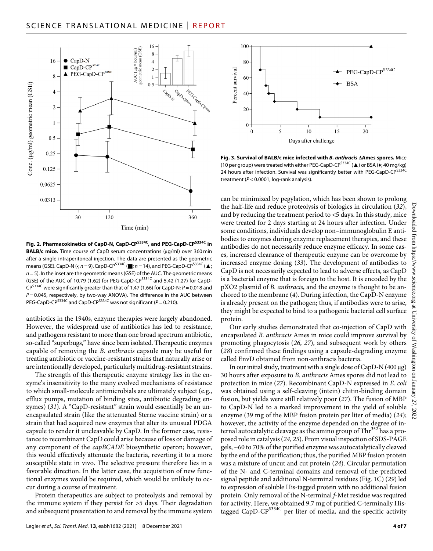

**Fig. 2. Pharmacokinetics of CapD-N, CapD-CPS334C, and PEG-CapD-CPS334C in BALB/c mice.** Time course of CapD serum concentrations (µg/ml) over 360 min after a single intraperitoneal injection. The data are presented as the geometric means (GSE). CapD-N (•; *n* = 9), CapD-CP<sup>S334C</sup> (■; *n* = 14), and PEG-CapD-CP<sup>S334C</sup> (▲; *n* = 5). In the inset are the geometric means (GSE) of the AUC. The geometric means (GSE) of the AUC of 10.79 (1.62) for PEG-CapD-CP<sup>S334C</sup> and 5.42 (1.27) for CapD-CPS334C were significantly greater than that of 1.47 (1.66) for CapD-N; *P* = 0.018 and *P* = 0.045, respectively, by two-way ANOVA). The difference in the AUC between PEG-CapD-CP<sup>S334C</sup> and CapD-CP<sup>S334C</sup> was not significant ( $P = 0.210$ ).

antibiotics in the 1940s, enzyme therapies were largely abandoned. However, the widespread use of antibiotics has led to resistance, and pathogens resistant to more than one broad spectrum antibiotic, so-called "superbugs," have since been isolated. Therapeutic enzymes capable of removing the *B. anthracis* capsule may be useful for treating antibiotic or vaccine-resistant strains that naturally arise or are intentionally developed, particularly multidrug-resistant strains.

The strength of this therapeutic enzyme strategy lies in the enzyme's insensitivity to the many evolved mechanisms of resistance to which small-molecule antimicrobials are ultimately subject (e.g., efflux pumps, mutation of binding sites, antibiotic degrading enzymes) (*31*). A "CapD-resistant" strain would essentially be an unencapsulated strain (like the attenuated Sterne vaccine strain) or a strain that had acquired new enzymes that alter its unusual PDGA capsule to render it uncleavable by CapD. In the former case, resistance to recombinant CapD could arise because of loss or damage of any component of the *capBCADE* biosynthetic operon; however, this would effectively attenuate the bacteria, reverting it to a more susceptible state in vivo. The selective pressure therefore lies in a favorable direction. In the latter case, the acquisition of new functional enzymes would be required, which would be unlikely to occur during a course of treatment.

Protein therapeutics are subject to proteolysis and removal by the immune system if they persist for >5 days. Their degradation and subsequent presentation to and removal by the immune system



**Fig. 3. Survival of BALB/c mice infected with** *B. anthracis* **Ames spores.** Mice (10 per group) were treated with either PEG-CapD-CP<sup>S334C</sup> (▲) or BSA (◆; 40 mg/kg) 24 hours after infection. Survival was significantly better with PEG-CapD-CP $^{5334C}$ treatment (*P* < 0.0001, log-rank analysis).

can be minimized by pegylation, which has been shown to prolong the half-life and reduce proteolysis of biologics in circulation (*32*), and by reducing the treatment period to <5 days. In this study, mice were treated for 2 days starting at 24 hours after infection. Under some conditions, individuals develop non–immunoglobulin E antibodies to enzymes during enzyme replacement therapies, and these antibodies do not necessarily reduce enzyme efficacy. In some cases, increased clearance of therapeutic enzyme can be overcome by increased enzyme dosing (*33*). The development of antibodies to CapD is not necessarily expected to lead to adverse effects, as CapD is a bacterial enzyme that is foreign to the host. It is encoded by the pXO2 plasmid of *B. anthracis*, and the enzyme is thought to be anchored to the membrane (*4*). During infection, the CapD-N enzyme is already present on the pathogen; thus, if antibodies were to arise, they might be expected to bind to a pathogenic bacterial cell surface protein.

Our early studies demonstrated that co-injection of CapD with encapsulated *B. anthracis* Ames in mice could improve survival by promoting phagocytosis (*26*, *27*), and subsequent work by others (*28*) confirmed these findings using a capsule-degrading enzyme called EnvD obtained from non-anthracis bacteria.

In our initial study, treatment with a single dose of  $CapD-N(400 \mu g)$ 30 hours after exposure to *B. anthracis* Ames spores did not lead to protection in mice (*27*). Recombinant CapD-N expressed in *E. coli* was obtained using a self-cleaving (intein) chitin-binding domain fusion, but yields were still relatively poor (*27*). The fusion of MBP to CapD-N led to a marked improvement in the yield of soluble enzyme (39 mg of the MBP fusion protein per liter of media) (*24*); however, the activity of the enzyme depended on the degree of internal autocatalytic cleavage as the amino group of  $\text{Thr}^{352}$  has a proposed role in catalysis (*24*, *25*). From visual inspection of SDS-PAGE gels, ~60 to 70% of the purified enzyme was autocatalytically cleaved by the end of the purification; thus, the purified MBP fusion protein was a mixture of uncut and cut protein (*24*). Circular permutation of the N- and C-terminal domains and removal of the predicted signal peptide and additional N-terminal residues (Fig. 1C) (*29*) led to expression of soluble His-tagged protein with no additional fusion protein. Only removal of the N-terminal *f*-Met residue was required for activity. Here, we obtained 9.7 mg of purified C-terminally Histagged CapD-CP<sup>S334C</sup> per liter of media, and the specific activity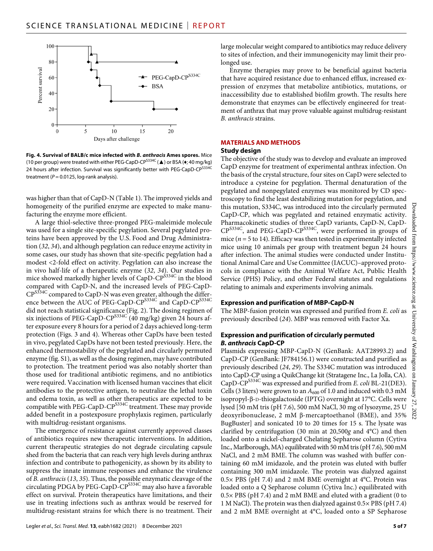

**Fig. 4. Survival of BALB/c mice infected with** *B. anthracis* **Ames spores.** Mice (10 per group) were treated with either PEG-CapD-CP<sup>S334C</sup> ( $\triangle$ ) or BSA ( $\bullet$ ; 40 mg/kg) 24 hours after infection. Survival was significantly better with PEG-CapD-CP $^{5334C}$ treatment  $(P = 0.0125$ , log-rank analysis).

was higher than that of CapD-N (Table 1). The improved yields and homogeneity of the purified enzyme are expected to make manufacturing the enzyme more efficient.

A large thiol-selective three-pronged PEG-maleimide molecule was used for a single site-specific pegylation. Several pegylated proteins have been approved by the U.S. Food and Drug Administration (*32*, *34*), and although pegylation can reduce enzyme activity in some cases, our study has shown that site-specific pegylation had a modest <2-fold effect on activity. Pegylation can also increase the in vivo half-life of a therapeutic enzyme (*32*, *34*). Our studies in mice showed markedly higher levels of CapD-CP<sup>S334C</sup> in the blood compared with CapD-N, and the increased levels of PEG-CapD-CP<sup>S334C</sup> compared to CapD-N was even greater, although the difference between the AUC of PEG-CapD-CP<sup>S334C</sup> and CapD-CP<sup>S334C</sup> did not reach statistical significance (Fig. 2). The dosing regimen of six injections of PEG-CapD-CP<sup>S334C</sup> (40 mg/kg) given 24 hours after exposure every 8 hours for a period of 2 days achieved long-term protection (Figs. 3 and 4). Whereas other CapDs have been tested in vivo, pegylated CapDs have not been tested previously. Here, the enhanced thermostability of the pegylated and circularly permuted enzyme (fig. S1), as well as the dosing regimen, may have contributed to protection. The treatment period was also notably shorter than those used for traditional antibiotic regimens, and no antibiotics were required. Vaccination with licensed human vaccines that elicit antibodies to the protective antigen, to neutralize the lethal toxin and edema toxin, as well as other therapeutics are expected to be compatible with PEG-CapD-CP<sup>S334C</sup> treatment. These may provide added benefit in a postexposure prophylaxis regimen, particularly with multidrug-resistant organisms.

The emergence of resistance against currently approved classes of antibiotics requires new therapeutic interventions. In addition, current therapeutic strategies do not degrade circulating capsule shed from the bacteria that can reach very high levels during anthrax infection and contribute to pathogenicity, as shown by its ability to suppress the innate immune responses and enhance the virulence of *B. anthracis* (*13*, *35*). Thus, the possible enzymatic cleavage of the circulating PDGA by PEG-CapD-CPS334C may also have a favorable effect on survival. Protein therapeutics have limitations, and their use in treating infections such as anthrax would be reserved for multidrug-resistant strains for which there is no treatment. Their large molecular weight compared to antibiotics may reduce delivery to sites of infection, and their immunogenicity may limit their prolonged use.

Enzyme therapies may prove to be beneficial against bacteria that have acquired resistance due to enhanced efflux, increased expression of enzymes that metabolize antibiotics, mutations, or inaccessibility due to established biofilm growth. The results here demonstrate that enzymes can be effectively engineered for treatment of anthrax that may prove valuable against multidrug-resistant *B. anthracis* strains.

### **MATERIALS AND METHODS**

#### **Study design**

The objective of the study was to develop and evaluate an improved CapD enzyme for treatment of experimental anthrax infection. On the basis of the crystal structure, four sites on CapD were selected to introduce a cysteine for pegylation. Thermal denaturation of the pegylated and nonpegylated enzymes was monitored by CD spectroscopy to find the least destabilizing mutation for pegylation, and this mutation, S334C, was introduced into the circularly permuted CapD-CP, which was pegylated and retained enzymatic activity. Pharmacokinetic studies of three CapD variants, CapD-N, CapD-CPS334C, and PEG-CapD-CPS334C, were performed in groups of mice ( $n = 5$  to 14). Efficacy was then tested in experimentally infected mice using 10 animals per group with treatment begun 24 hours after infection. The animal studies were conducted under Institutional Animal Care and Use Committee (IACUC)–approved protocols in compliance with the Animal Welfare Act, Public Health Service (PHS) Policy, and other Federal statutes and regulations relating to animals and experiments involving animals.

### **Expression and purification of MBP-CapD-N**

The MBP-fusion protein was expressed and purified from *E. coli* as previously described (*24*). MBP was removed with Factor Xa.

#### **Expression and purification of circularly permuted**  *B. anthracis* **CapD-CP**

Plasmids expressing MBP-CapD-N (GenBank: AAT28993.2) and CapD-CP (GenBank: JF784156.1) were constructed and purified as previously described (*24*, *29*). The S334C mutation was introduced into CapD-CP using a QuikChange kit (Stratagene Inc., La Jolla, CA). CapD-CPS334C was expressed and purified from *E. coli* BL-21(DE3). Cells (3 liters) were grown to an  $A_{600}$  of 1.0 and induced with 0.3 mM isopropyl-β-D-thiogalactoside (IPTG) overnight at 17°C. Cells were lysed [50 mM tris (pH 7.6), 500 mM NaCl, 30 mg of lysozyme, 25 U deoxyribonuclease, 2 mM  $\beta$ -mercaptoethanol (BME), and 35% BugBuster] and sonicated 10 to 20 times for 15 s. The lysate was clarified by centrifugation (30 min at 20,500*g* and 4°C) and then loaded onto a nickel-charged Chelating Sepharose column (Cytiva Inc., Marlborough, MA) equilibrated with 50 mM tris (pH 7.6), 500 mM NaCl, and 2 mM BME. The column was washed with buffer containing 60 mM imidazole, and the protein was eluted with buffer containing 300 mM imidazole. The protein was dialyzed against  $0.5\times$  PBS (pH 7.4) and 2 mM BME overnight at 4°C. Protein was loaded onto a Q Sepharose column (Cytiva Inc.) equilibrated with 0.5× PBS (pH 7.4) and 2 mM BME and eluted with a gradient (0 to 1 M NaCl). The protein was then dialyzed against 0.5× PBS (pH 7.4) and 2 mM BME overnight at 4°C, loaded onto a SP Sepharose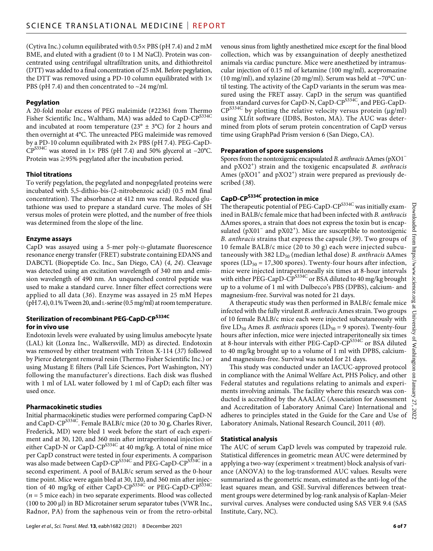(Cytiva Inc.) column equilibrated with 0.5× PBS (pH 7.4) and 2 mM BME, and eluted with a gradient (0 to 1 M NaCl). Protein was concentrated using centrifugal ultrafiltration units, and dithiothreitol (DTT) was added to a final concentration of 25 mM. Before pegylation, the DTT was removed using a PD-10 column equilibrated with  $1\times$ PBS (pH 7.4) and then concentrated to  $\sim$  24 mg/ml.

## **Pegylation**

A 20-fold molar excess of PEG maleimide (#22361 from Thermo Fisher Scientific Inc., Waltham, MA) was added to CapD-CP<sup>S334C</sup> and incubated at room temperature ( $23^{\circ} \pm 3^{\circ}$ C) for 2 hours and then overnight at 4°C. The unreacted PEG maleimide was removed by a PD-10 column equilibrated with 2× PBS (pH 7.4). PEG-CapD-CPS334C was stored in 1× PBS (pH 7.4) and 50% glycerol at −20°C. Protein was ≥95% pegylated after the incubation period.

### **Thiol titrations**

To verify pegylation, the pegylated and nonpegylated proteins were incubated with 5,5-dithio-bis-(2-nitrobenzoic acid) (0.5 mM final concentration). The absorbance at 412 nm was read. Reduced glutathione was used to prepare a standard curve. The moles of SH versus moles of protein were plotted, and the number of free thiols was determined from the slope of the line.

#### **Enzyme assays**

CapD was assayed using a 5-mer poly-D-glutamate fluorescence resonance energy transfer (FRET) substrate containing EDANS and DABCYL (Biopeptide Co. Inc., San Diego, CA) (*4*, *24*). Cleavage was detected using an excitation wavelength of 340 nm and emission wavelength of 490 nm. An unquenched control peptide was used to make a standard curve. Inner filter effect corrections were applied to all data (*36*). Enzyme was assayed in 25 mM Hepes (pH 7.4), 0.1% Tween 20, and l-serine (0.5 mg/ml) at room temperature.

#### **Sterilization ofrecombinant PEG-CapD-CPS334C forin vivo use**

Endotoxin levels were evaluated by using limulus amebocyte lysate (LAL) kit (Lonza Inc., Walkersville, MD) as directed. Endotoxin was removed by either treatment with Triton X-114 (*37*) followed by Pierce detergent removal resin (Thermo Fisher Scientific Inc.) or using Mustang E filters (Pall Life Sciences, Port Washington, NY) following the manufacturer's directions. Each disk was flushed with 1 ml of LAL water followed by 1 ml of CapD; each filter was used once.

### **Pharmacokinetic studies**

Initial pharmacokinetic studies were performed comparing CapD-N and CapD-CPS334C. Female BALB/c mice (20 to 30 g, Charles River, Frederick, MD) were bled 1 week before the start of each experiment and at 30, 120, and 360 min after intraperitoneal injection of either CapD-N or CapD-CP<sup>S334C</sup> at 40 mg/kg. A total of nine mice per CapD construct were tested in four experiments. A comparison was also made between CapD-CP $^{\rm S334C}$  and PEG-CapD-CP $^{\rm S334C}$  in a second experiment. A pool of BALB/c serum served as the 0-hour time point. Mice were again bled at 30, 120, and 360 min after injection of 40 mg/kg of either CapD-CP<sup>S334C</sup> or PEG-CapD-CP<sup>S334C</sup> (*n* = 5 mice each) in two separate experiments. Blood was collected (100 to 200 µl) in BD Microtainer serum separator tubes (VWR Inc., Radnor, PA) from the saphenous vein or from the retro-orbital

venous sinus from lightly anesthetized mice except for the final blood collection, which was by exsanguination of deeply anesthetized animals via cardiac puncture. Mice were anesthetized by intramuscular injection of 0.15 ml of ketamine (100 mg/ml), acepromazine (10 mg/ml), and xylazine (20 mg/ml). Serum was held at −70°C until testing. The activity of the CapD variants in the serum was measured using the FRET assay. CapD in the serum was quantified from standard curves for CapD-N, CapD-CP<sup>S334C</sup>, and PEG-CapD- $CP^{S334C}$  by plotting the relative velocity versus protein ( $\mu$ g/ml) using XLfit software (IDBS, Boston, MA). The AUC was determined from plots of serum protein concentration of CapD versus time using GraphPad Prism version 6 (San Diego, CA).

#### **Preparation of spore suspensions**

Spores from the nontoxigenic encapsulated *B. anthracis* ∆Ames (pXO1<sup>-</sup> and pXO2<sup>+</sup> ) strain and the toxigenic encapsulated *B. anthracis* Ames (pXO1<sup>+</sup> and pXO2<sup>+</sup>) strain were prepared as previously described (*38*).

# **CapD-CPS334C protection in mice**

The therapeutic potential of PEG-CapD-CP<sup>S334C</sup> was initially examined in BALB/c female mice that had been infected with *B. anthracis* Ames spores, a strain that does not express the toxin but is encapsulated (pX01<sup>-</sup> and pX02<sup>+</sup>). Mice are susceptible to nontoxigenic *B. anthracis* strains that express the capsule (*39*). Two groups of 10 female BALB/c mice (20 to 30 g) each were injected subcutaneously with 382 LD<sub>50</sub> (median lethal dose) *B. anthracis*  $\Delta$ Ames spores ( $LD_{50} = 17,300$  spores). Twenty-four hours after infection, mice were injected intraperitoneally six times at 8-hour intervals with either PEG-CapD-CP<sup>S334C</sup> or BSA diluted to 40 mg/kg brought up to a volume of 1 ml with Dulbecco's PBS (DPBS), calcium- and magnesium-free. Survival was noted for 21 days.

A therapeutic study was then performed in BALB/c female mice infected with the fully virulent *B. anthracis* Ames strain. Two groups of 10 female BALB/c mice each were injected subcutaneously with five LD<sub>50</sub> Ames *B. anthracis* spores (LD<sub>50</sub> = 9 spores). Twenty-four hours after infection, mice were injected intraperitoneally six times at 8-hour intervals with either PEG-CapD-CP<sup>S334C</sup> or BSA diluted to 40 mg/kg brought up to a volume of 1 ml with DPBS, calciumand magnesium-free. Survival was noted for 21 days.

This study was conducted under an IACUC-approved protocol in compliance with the Animal Welfare Act, PHS Policy, and other Federal statutes and regulations relating to animals and experiments involving animals. The facility where this research was conducted is accredited by the AAALAC (Association for Assessment and Accreditation of Laboratory Animal Care) International and adheres to principles stated in the Guide for the Care and Use of Laboratory Animals, National Research Council, 2011 (*40*).

#### **Statistical analysis**

The AUC of serum CapD levels was computed by trapezoid rule. Statistical differences in geometric mean AUC were determined by applying a two-way (experiment  $\times$  treatment) block analysis of variance (ANOVA) to the log-transformed AUC values. Results were summarized as the geometric mean, estimated as the anti-log of the least squares mean, and GSE. Survival differences between treatment groups were determined by log-rank analysis of Kaplan-Meier survival curves. Analyses were conducted using SAS VER 9.4 (SAS Institute, Cary, NC).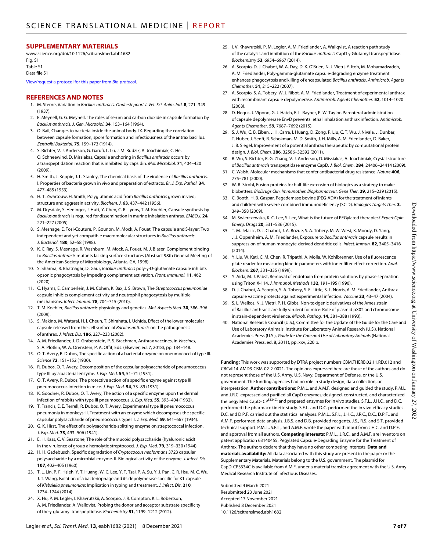#### **SUPPLEMENTARY MATERIALS**

[www.science.org/doi/10.1126/scitranslmed.abh1682](http://www.science.org/doi/10.1126/scitranslmed.abh1682) Fig. S1 Table S1 Data file S1

[View/request a protocol for this paper from](https://en.bio-protocol.org/cjrap.aspx?eid=10.1126/scitranslmed.abh1682) *Bio-protocol*.

#### **REFERENCES AND NOTES**

- 1. M. Sterne, Variation in *Bacillus anthracis*. *Onderstepoort J. Vet. Sci. Anim. Ind.* **8**, 271–349 (1937).
- 2. E. Meynell, G. G. Meynell, The roles of serum and carbon dioxide in capsule formation by *Bacillus anthracis*. *J. Gen. Microbiol.* **34**, 153–164 (1964).
- 3. O. Bail, Changes to bacteria inside the animal body. IX. Regarding the correlation between capsule formation, spore formation and infectiousness of the antrax bacillus. *Zentralbl Bakteriol.* **75**, 159–173 (1914).
- 4. S. Richter, V. J. Anderson, G. Garufi, L. Lu, J. M. Budzik, A. Joachimiak, C. He, O. Schneewind, D. Missiakas, Capsule anchoring in *Bacillus anthracis* occurs by a transpeptidation reaction that is inhibited by capsidin. *Mol. Microbiol.* **71**, 404–420 (2009).
- 5. H. Smith, J. Keppie, J. L. Stanley, The chemical basis of the virulence of *Bacillus anthracis*. I. Properties of bacteria grown in vivo and preparation of extracts. *Br. J. Exp. Pathol.* **34**, 477–485 (1953).
- 6. H. T. Zwartouw, H. Smith, Polyglutamic acid from *Bacillus anthracis* grown in vivo; structure and aggressin activity. *Biochem. J.* **63**, 437–442 (1956).
- 7. M. Drysdale, S. Heninger, J. Hutt, Y. Chen, C. R. Lyons, T. M. Koehler, Capsule synthesis by *Bacillus anthracis* is required for dissemination in murine inhalation anthrax. *EMBO J.* **24**, 221–227 (2005).
- 8. S. Mesnage, E. Tosi-Couture, P. Gounon, M. Mock, A. Fouet, The capsule and S-layer: Two independent and yet compatible macromolecular structures in *Bacillus anthracis*. *J. Bacteriol.* **180**, 52–58 (1998).
- 9. K. C. Ray, S. Mesnage, R. Washburn, M. Mock, A. Fouet, M. J. Blaser, Complement binding to *Bacillus anthracis* mutants lacking surface structures (Abstract 98th General Meeting of the American Society of Microbiology, Atlanta, GA, 1998).
- 10. S. Sharma, R. Bhatnagar, D. Gaur, *Bacillus anthracis* poly--D-glutamate capsule inhibits opsonic phagocytosis by impeding complement activation. *Front. Immunol.* **11**, 462 (2020).
- 11. C. Hyams, E. Camberlein, J. M. Cohen, K. Bax, J. S. Brown, The *Streptococcus pneumoniae* capsule inhibits complement activity and neutrophil phagocytosis by multiple mechanisms. *Infect. Immun.* **78**, 704–715 (2010).
- 12. T. M. Koehler, *Bacillus anthracis* physiology and genetics. *Mol. Aspects Med.* **30**, 386–396 (2009).
- 13. S. Makino, M. Watarai, H. I. Cheun, T. Shirahata, I. Uchida, Effect of the lower molecular capsule released from the cell surface of *Bacillus anthracis* on the pathogenesis of anthrax. *J. Infect. Dis.* **186**, 227–233 (2002).
- 14. A. M. Friedlander, J. D. Grabenstein, P. S. Brachman, Anthrax vaccines, in *Vaccines*, S. A. Plotkin, W. A. Orenstein, P. A. Offit, Eds. (Elsevier, ed. 7, 2018), pp. 134–148.
- 15. O. T. Avery, R. Dubos, The specific action of a bacterial enzyme on pneumococci oftype III. *Science* **72**, 151–152 (1930).
- 16. R. Dubos, O. T. Avery, Decomposition of the capsular polysaccharide of pneumococcus type III by a bacterial enzyme. *J. Exp. Med.* **54**, 51–71 (1931).
- 17. O. T. Avery, R. Dubos, The protective action of a specific enzyme against type III pneumococcus infection in mice. *J. Exp. Med.* **54**, 73–89 (1931).
- 18. K. Goodner, R. Dubos, O. T. Avery, The action of a specific enzyme upon the dermal infection of rabbits with type III pneumococcus. *J. Exp. Med.* **55**, 393–404 (1932).
- 19. T. Francis, E. E. Terrell, R. Dubos, O. T. Avery, Experimental type III pneumococcus pneumonia in monkeys: II. Treatment with an enzyme which decomposes the specific capsular polysaccharide of pneumococcus type III. *J. Exp. Med.* **59**, 641–667 (1934).
- 20. G. K. Hirst, The effect of a polysaccharide-splitting enzyme on streptococcal infection. *J. Exp. Med.* **73**, 493–506 (1941).
- 21. E. H. Kass, C. V. Seastone, The role of the mucoid polysaccharide (hyaluronic acid) in the virulence of group a hemolytic streptococci. *J. Exp. Med.* **79**, 319–330 (1944).
- 22. H. H. Gadebusch, Specific degradation of *Cryptococcus neoformans* 3723 capsular polysaccharide by a microbial enzyme. II. Biological activity of the enzyme. *J. Infect. Dis.* **107**, 402–405 (1960).
- 23. T. L. Lin, P. F. Hsieh, Y. T. Huang, W. C. Lee, Y. T. Tsai, P. A. Su, Y. J. Pan, C. R. Hsu, M. C. Wu, J. T. Wang, Isolation of a bacteriophage and its depolymerase specific for K1 capsule of *Klebsiella pneumoniae*: Implication in typing and treatment. *J. Infect. Dis.* **210**, 1734–1744 (2014).
- 24. X. Hu, P. M. Legler, I. Khavrutskii, A. Scorpio, J. R. Compton, K. L. Robertson, A. M. Friedlander, A. Wallqvist, Probing the donor and acceptor substrate specificity of the γ-glutamyl transpeptidase. *Biochemistry* **51**, 1199-1212 (2012).
- 25. I. V. Khavrutskii, P. M. Legler, A. M. Friedlander, A. Wallqvist, A reaction path study of the catalysis and inhibition of the *Bacillus anthracis* CapD  $\gamma$ -Glutamyl transpeptidase. *Biochemistry* **53**, 6954–6967 (2014).
- 26. A. Scorpio, D. J. Chabot, W. A. Day, D. K. O'Brien, N. J. Vietri, Y. Itoh, M. Mohamadzadeh, A. M. Friedlander, Poly-gamma-glutamate capsule-degrading enzyme treatment enhances phagocytosis and killing of encapsulated *Bacillus anthracis*. *Antimicrob. Agents Chemother.* **51**, 215–222 (2007).
- 27. A. Scorpio, S. A. Tobery, W. J. Ribot, A. M. Friedlander, Treatment of experimental anthrax with recombinant capsule depolymerase. *Antimicrob. Agents Chemother.* **52**, 1014–1020 (2008).
- 28. D. Negus, J. Vipond, G. J. Hatch, E. L. Rayner, P. W. Taylor, Parenteral administration of capsule depolymerase EnvD prevents lethal inhalation anthrax infection. *Antimicrob. Agents Chemother.* **59**, 7687–7692 (2015).
- 29. S. J. Wu, C. B. Eiben, J. H. Carra, I. Huang, D. Zong, P. Liu, C. T. Wu, J. Nivala, J. Dunbar, T. Huber, J. Senft, R. Schokman, M. D. Smith, J. H. Mills, A. M. Friedlander, D. Baker, J. B. Siegel, Improvement of a potential anthrax therapeutic by computational protein design. *J. Biol. Chem.* **286**, 32586–32592 (2011).
- 30. R. Wu, S. Richter, R. G. Zhang, V. J. Anderson, D. Missiakas, A. Joachimiak, Crystal structure of *Bacillus anthracis* transpeptidase enzyme CapD. *J. Biol. Chem.* **284**, 24406–24414 (2009).
- 31. C. Walsh, Molecular mechanisms that confer antibacterial drug resistance. *Nature* **406**, 775–781 (2000).
- 32. W. R. Strohl, Fusion proteins for half-life extension of biologics as a strategy to make biobetters. *BioDrugs Clin. Immunother. Biopharmaceut. Gene Ther.* **29**, 215–239 (2015).
- 33. C. Booth, H. B. Gaspar, Pegademase bovine (PEG-ADA) for the treatment of infants and children with severe combined immunodeficiency (SCID). *Biologics Targets Ther.* **3**, 349–358 (2009).
- 34. M. Swierczewska, K. C. Lee, S. Lee, What is the future of PEGylated therapies? *Expert Opin. Emerg. Drugs* **20**, 531–536 (2015).
- 35. T. M. Jelacic, D. J. Chabot, J. A. Bozue, S. A. Tobery, M. W. West, K. Moody, D. Yang, J. J. Oppenheim, A. M. Friedlander, Exposure to *Bacillus anthracis* capsule results in suppression of human monocyte-derived dendritic cells. *Infect. Immun.* **82**, 3405–3416 (2014).
- 36. Y. Liu, W. Kati, C. M. Chen, R. Tripathi, A. Molla, W. Kohlbrenner, Use of a fluorescence plate reader for measuring kinetic parameters with inner filter effect correction. *Anal. Biochem.* **267**, 331–335 (1999).
- 37. Y. Aida, M. J. Pabst, Removal of endotoxin from protein solutions by phase separation using Triton X-114. *J. Immunol. Methods* **132**, 191–195 (1990).
- 38. D. J. Chabot, A. Scorpio, S. A. Tobery, S. F. Little, S. L. Norris, A. M. Friedlander, Anthrax capsule vaccine protects against experimental infection. *Vaccine* **23**, 43–47 (2004).
- 39. S. L. Welkos, N. J. Vietri, P. H. Gibbs, Non-toxigenic derivatives of the Ames strain of Bacillus anthracis are fully virulent for mice: Role of plasmid pX02 and chromosome in strain-dependent virulence. *Microb. Pathog.* **14**, 381–388 (1993).
- 40. National Research Council (U.S.), Committee for the Update of the Guide for the Care and Use of Laboratory Animals, Institute for Laboratory Animal Research (U.S.), National Academies Press (U.S.), *Guide for the Care and Use of Laboratory Animals* (National Academies Press, ed. 8, 2011), pp. xxv, 220 p.

2022

CBCall14-AMD3-CBM-02-2-0021. The opinions expressed here are those of the authors and do not represent those of the U.S. Army, U.S. Navy, Department of Defense, or the U.S. government. The funding agencies had no role in study design, data collection, or interpretation. **Author contributions:** P.M.L. and A.M.F. designed and guided the study. P.M.L. and J.R.C. expressed and purified all CapD enzymes; designed, constructed, and characterized the pegylated CapD- CP<sup>S334C</sup>; and prepared enzymes for in vivo studies. S.F.L., J.H.C., and D.C. performed the pharmacokinetic study. S.F.L. and D.C. performed the in vivo efficacy studies. D.C. and D.P.F. carried out the statistical analyses. P.M.L., S.F.L., J.H.C., J.R.C., D.C., D.P.F., and A.M.F. performed data analysis. J.B.S. and D.B. provided reagents. J.S., R.S. and S.T. provided technical support. P.M.L., S.F.L., and A.M.F. wrote the paper with input from J.H.C. and D.P.F. and approval from all authors. **Competing interests:** P.M.L., J.R.C., and A.M.F. are inventors on patent application 63140455, Pegylated Capsule-Degrading Enzyme for the Treatment of Anthrax. The authors declare that they have no other competing interests. **Data and materials availability:** All data associated with this study are present in the paper or the Supplementary Materials. Materials belong to the U.S. government. The plasmid for CapD-CPS334C is available from A.M.F. under a material transfer agreement with the U.S. Army Medical Research Institute of Infectious Diseases.

Submitted 4 March 2021 Resubmitted 23 June 2021 Accepted 17 November 2021 Published 8 December 2021 10.1126/scitranslmed.abh1682